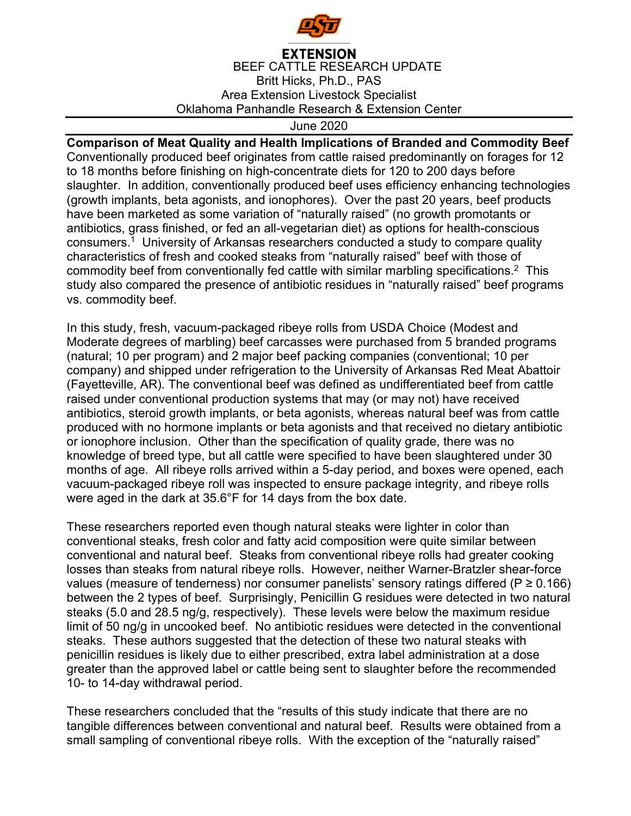

## **EXTENSION** BEEF CATTLE RESEARCH UPDATE Britt Hicks, Ph.D., PAS Area Extension Livestock Specialist Oklahoma Panhandle Research & Extension Center

June 2020

## **Comparison of Meat Quality and Health Implications of Branded and Commodity Beef**

Conventionally produced beef originates from cattle raised predominantly on forages for 12 to 18 months before finishing on high-concentrate diets for 120 to 200 days before slaughter. In addition, conventionally produced beef uses efficiency enhancing technologies (growth implants, beta agonists, and ionophores). Over the past 20 years, beef products have been marketed as some variation of "naturally raised" (no growth promotants or antibiotics, grass finished, or fed an all-vegetarian diet) as options for health-conscious consumers.<sup>1</sup> University of Arkansas researchers conducted a study to compare quality characteristics of fresh and cooked steaks from "naturally raised" beef with those of commodity beef from conventionally fed cattle with similar marbling specifications.2 This study also compared the presence of antibiotic residues in "naturally raised" beef programs vs. commodity beef.

In this study, fresh, vacuum-packaged ribeye rolls from USDA Choice (Modest and Moderate degrees of marbling) beef carcasses were purchased from 5 branded programs (natural; 10 per program) and 2 major beef packing companies (conventional; 10 per company) and shipped under refrigeration to the University of Arkansas Red Meat Abattoir (Fayetteville, AR). The conventional beef was defined as undifferentiated beef from cattle raised under conventional production systems that may (or may not) have received antibiotics, steroid growth implants, or beta agonists, whereas natural beef was from cattle produced with no hormone implants or beta agonists and that received no dietary antibiotic or ionophore inclusion. Other than the specification of quality grade, there was no knowledge of breed type, but all cattle were specified to have been slaughtered under 30 months of age. All ribeye rolls arrived within a 5-day period, and boxes were opened, each vacuum-packaged ribeye roll was inspected to ensure package integrity, and ribeye rolls were aged in the dark at 35.6°F for 14 days from the box date.

These researchers reported even though natural steaks were lighter in color than conventional steaks, fresh color and fatty acid composition were quite similar between conventional and natural beef. Steaks from conventional ribeye rolls had greater cooking losses than steaks from natural ribeye rolls. However, neither Warner-Bratzler shear-force values (measure of tenderness) nor consumer panelists' sensory ratings differed ( $P \ge 0.166$ ) between the 2 types of beef. Surprisingly, Penicillin G residues were detected in two natural steaks (5.0 and 28.5 ng/g, respectively). These levels were below the maximum residue limit of 50 ng/g in uncooked beef. No antibiotic residues were detected in the conventional steaks. These authors suggested that the detection of these two natural steaks with penicillin residues is likely due to either prescribed, extra label administration at a dose greater than the approved label or cattle being sent to slaughter before the recommended 10- to 14-day withdrawal period.

These researchers concluded that the "results of this study indicate that there are no tangible differences between conventional and natural beef. Results were obtained from a small sampling of conventional ribeye rolls. With the exception of the "naturally raised"